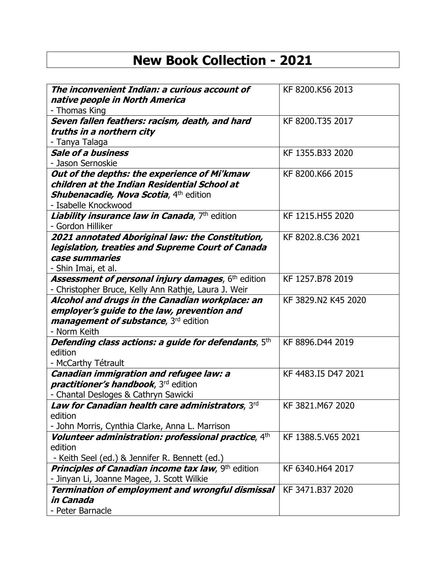## **New Book Collection - 2021**

| native people in North America<br>- Thomas King<br>Seven fallen feathers: racism, death, and hard<br>KF 8200.T35 2017<br>truths in a northern city<br>- Tanya Talaga<br><b>Sale of a business</b><br>KF 1355.B33 2020<br>- Jason Sernoskie<br>Out of the depths: the experience of Mi'kmaw<br>KF 8200.K66 2015 |
|----------------------------------------------------------------------------------------------------------------------------------------------------------------------------------------------------------------------------------------------------------------------------------------------------------------|
|                                                                                                                                                                                                                                                                                                                |
|                                                                                                                                                                                                                                                                                                                |
|                                                                                                                                                                                                                                                                                                                |
|                                                                                                                                                                                                                                                                                                                |
|                                                                                                                                                                                                                                                                                                                |
|                                                                                                                                                                                                                                                                                                                |
|                                                                                                                                                                                                                                                                                                                |
| children at the Indian Residential School at                                                                                                                                                                                                                                                                   |
| <b>Shubenacadie, Nova Scotia, 4th edition</b>                                                                                                                                                                                                                                                                  |
| - Isabelle Knockwood                                                                                                                                                                                                                                                                                           |
| Liability insurance law in Canada, 7th edition<br>KF 1215.H55 2020                                                                                                                                                                                                                                             |
| - Gordon Hilliker                                                                                                                                                                                                                                                                                              |
| 2021 annotated Aboriginal law: the Constitution,<br>KF 8202.8.C36 2021                                                                                                                                                                                                                                         |
| legislation, treaties and Supreme Court of Canada                                                                                                                                                                                                                                                              |
| case summaries                                                                                                                                                                                                                                                                                                 |
| - Shin Imai, et al.                                                                                                                                                                                                                                                                                            |
| <b>Assessment of personal injury damages, 6th edition</b><br>KF 1257.B78 2019                                                                                                                                                                                                                                  |
| - Christopher Bruce, Kelly Ann Rathje, Laura J. Weir<br>Alcohol and drugs in the Canadian workplace: an<br>KF 3829.N2 K45 2020                                                                                                                                                                                 |
| employer's guide to the law, prevention and                                                                                                                                                                                                                                                                    |
| <i>management of substance</i> , 3 <sup>rd</sup> edition                                                                                                                                                                                                                                                       |
| - Norm Keith                                                                                                                                                                                                                                                                                                   |
| Defending class actions: a guide for defendants, 5th<br>KF 8896.D44 2019                                                                                                                                                                                                                                       |
| edition                                                                                                                                                                                                                                                                                                        |
| - McCarthy Tétrault                                                                                                                                                                                                                                                                                            |
| Canadian immigration and refugee law: a<br>KF 4483.I5 D47 2021                                                                                                                                                                                                                                                 |
| <i>practitioner's handbook</i> , 3 <sup>rd</sup> edition                                                                                                                                                                                                                                                       |
| - Chantal Desloges & Cathryn Sawicki                                                                                                                                                                                                                                                                           |
| KF 3821.M67 2020<br>Law for Canadian health care administrators, 3rd                                                                                                                                                                                                                                           |
| edition                                                                                                                                                                                                                                                                                                        |
| - John Morris, Cynthia Clarke, Anna L. Marrison                                                                                                                                                                                                                                                                |
| Volunteer administration: professional practice, 4th<br>KF 1388.5.V65 2021                                                                                                                                                                                                                                     |
| edition                                                                                                                                                                                                                                                                                                        |
| - Keith Seel (ed.) & Jennifer R. Bennett (ed.)                                                                                                                                                                                                                                                                 |
| <b>Principles of Canadian income tax law, 9th edition</b><br>KF 6340.H64 2017<br>- Jinyan Li, Joanne Magee, J. Scott Wilkie                                                                                                                                                                                    |
| <b>Termination of employment and wrongful dismissal</b><br>KF 3471.B37 2020                                                                                                                                                                                                                                    |
| in Canada                                                                                                                                                                                                                                                                                                      |
| - Peter Barnacle                                                                                                                                                                                                                                                                                               |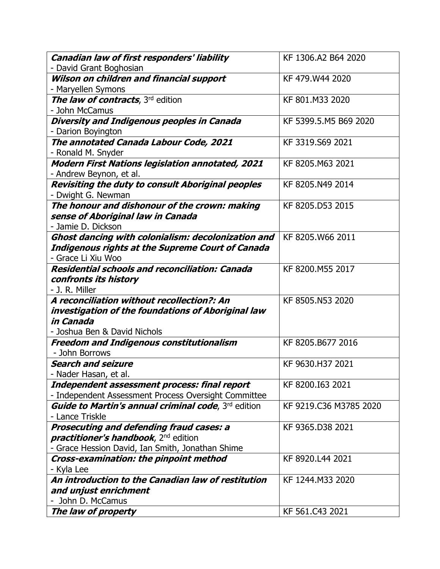| Canadian law of first responders' liability                                   | KF 1306.A2 B64 2020    |
|-------------------------------------------------------------------------------|------------------------|
| - David Grant Boghosian                                                       |                        |
| Wilson on children and financial support                                      | KF 479.W44 2020        |
| - Maryellen Symons                                                            |                        |
| The law of contracts, 3rd edition                                             | KF 801.M33 2020        |
| - John McCamus                                                                |                        |
| Diversity and Indigenous peoples in Canada                                    | KF 5399.5.M5 B69 2020  |
| - Darion Boyington                                                            |                        |
| The annotated Canada Labour Code, 2021                                        | KF 3319.S69 2021       |
| - Ronald M. Snyder                                                            |                        |
| <b>Modern First Nations legislation annotated, 2021</b>                       | KF 8205.M63 2021       |
| - Andrew Beynon, et al.                                                       |                        |
| Revisiting the duty to consult Aboriginal peoples                             | KF 8205.N49 2014       |
| - Dwight G. Newman                                                            |                        |
| The honour and dishonour of the crown: making                                 | KF 8205.D53 2015       |
| sense of Aboriginal law in Canada                                             |                        |
| - Jamie D. Dickson                                                            |                        |
| Ghost dancing with colonialism: decolonization and                            | KF 8205.W66 2011       |
| <b>Indigenous rights at the Supreme Court of Canada</b><br>- Grace Li Xiu Woo |                        |
| <b>Residential schools and reconciliation: Canada</b>                         | KF 8200.M55 2017       |
| confronts its history                                                         |                        |
| - J. R. Miller                                                                |                        |
| A reconciliation without recollection?: An                                    | KF 8505.N53 2020       |
| investigation of the foundations of Aboriginal law                            |                        |
| in Canada                                                                     |                        |
| - Joshua Ben & David Nichols                                                  |                        |
| <b>Freedom and Indigenous constitutionalism</b>                               | KF 8205.B677 2016      |
| - John Borrows                                                                |                        |
| <b>Search and seizure</b>                                                     | KF 9630.H37 2021       |
| Nader Hasan, et al.                                                           |                        |
| Independent assessment process: final report                                  | KF 8200.I63 2021       |
| - Independent Assessment Process Oversight Committee                          |                        |
| <b>Guide to Martin's annual criminal code, 3rd edition</b>                    | KF 9219.C36 M3785 2020 |
| - Lance Triskle                                                               |                        |
| Prosecuting and defending fraud cases: a                                      | KF 9365.D38 2021       |
| <i>practitioner's handbook</i> , 2 <sup>nd</sup> edition                      |                        |
| - Grace Hession David, Ian Smith, Jonathan Shime                              |                        |
| Cross-examination: the pinpoint method                                        | KF 8920.L44 2021       |
| - Kyla Lee                                                                    |                        |
| An introduction to the Canadian law of restitution                            | KF 1244.M33 2020       |
| and unjust enrichment                                                         |                        |
| - John D. McCamus                                                             |                        |
| The law of property                                                           | KF 561.C43 2021        |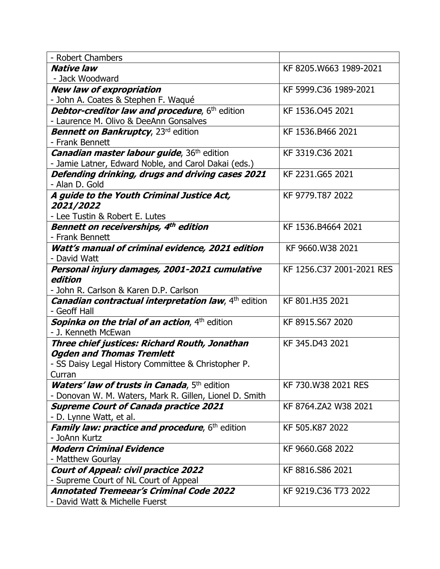| - Robert Chambers                                                          |                           |
|----------------------------------------------------------------------------|---------------------------|
| <b>Native law</b>                                                          | KF 8205.W663 1989-2021    |
| - Jack Woodward                                                            |                           |
| <b>New law of expropriation</b>                                            | KF 5999.C36 1989-2021     |
| - John A. Coates & Stephen F. Waqué                                        |                           |
| Debtor-creditor law and procedure, 6th edition                             | KF 1536.045 2021          |
| - Laurence M. Olivo & DeeAnn Gonsalves                                     |                           |
| <b>Bennett on Bankruptcy, 23rd edition</b>                                 | KF 1536.B466 2021         |
| - Frank Bennett                                                            |                           |
| <b>Canadian master labour guide</b> , 36 <sup>th</sup> edition             | KF 3319.C36 2021          |
| - Jamie Latner, Edward Noble, and Carol Dakai (eds.)                       |                           |
| Defending drinking, drugs and driving cases 2021                           | KF 2231.G65 2021          |
| - Alan D. Gold                                                             |                           |
| A guide to the Youth Criminal Justice Act,                                 | KF 9779.T87 2022          |
| <i><b>2021/2022</b></i>                                                    |                           |
| - Lee Tustin & Robert E. Lutes                                             |                           |
| Bennett on receiverships, 4th edition                                      | KF 1536.B4664 2021        |
| - Frank Bennett                                                            |                           |
| Watt's manual of criminal evidence, 2021 edition                           | KF 9660.W38 2021          |
| - David Watt                                                               |                           |
| Personal injury damages, 2001-2021 cumulative                              | KF 1256.C37 2001-2021 RES |
| edition                                                                    |                           |
| - John R. Carlson & Karen D.P. Carlson                                     |                           |
| <b>Canadian contractual interpretation law</b> , 4 <sup>th</sup> edition   | KF 801.H35 2021           |
| - Geoff Hall                                                               |                           |
| <b>Sopinka on the trial of an action, 4th edition</b>                      | KF 8915.S67 2020          |
| - J. Kenneth McEwan                                                        |                           |
| Three chief justices: Richard Routh, Jonathan                              | KF 345.D43 2021           |
| <b>Ogden and Thomas Tremlett</b>                                           |                           |
| - SS Daisy Legal History Committee & Christopher P.                        |                           |
| Curran                                                                     | KF 730.W38 2021 RES       |
| <b>Waters' law of trusts in Canada</b> , 5 <sup>th</sup> edition           |                           |
| - Donovan W. M. Waters, Mark R. Gillen, Lionel D. Smith                    | KF 8764.ZA2 W38 2021      |
| <b>Supreme Court of Canada practice 2021</b>                               |                           |
| - D. Lynne Watt, et al.<br>Family law: practice and procedure, 6th edition | KF 505.K87 2022           |
| - JoAnn Kurtz                                                              |                           |
| <b>Modern Criminal Evidence</b>                                            | KF 9660.G68 2022          |
| - Matthew Gourlay                                                          |                           |
| <b>Court of Appeal: civil practice 2022</b>                                | KF 8816.S86 2021          |
| - Supreme Court of NL Court of Appeal                                      |                           |
| <b>Annotated Tremeear's Criminal Code 2022</b>                             | KF 9219.C36 T73 2022      |
| - David Watt & Michelle Fuerst                                             |                           |
|                                                                            |                           |